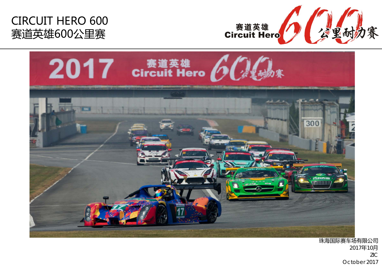





珠海国际赛车场有限公司 2017年10月 ZICOctober 2017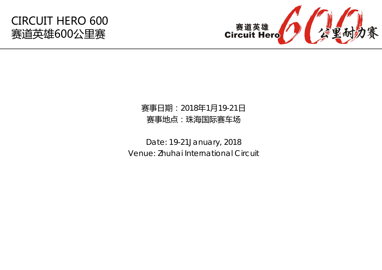

## 赛事日期:2018年1月19-21日 赛事地点:珠海国际赛车场

Date: 19-21January, 2018 Venue: Zhuhai International Circuit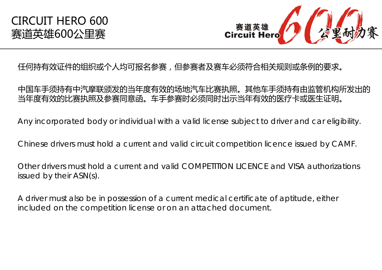

## 任何持有效证件的组织或个人均可报名参赛,但参赛者及赛车必须符合相关规则或条例的要求。

#### 中国车手须持有中汽摩联颁发的当年度有效的场地汽车比赛执照。其他车手须持有由监管机构所发出的 当年度有效的比赛执照及参赛同意函。车手参赛时必须同时出示当年有效的医疗卡或医生证明。

Any incorporated body or individual with a valid license subject to driver and car eligibility.

Chinese drivers must hold a current and valid circuit competition licence issued by CAMF.

Other drivers must hold a current and valid COMPETITION LICENCE and VISA authorizations issued by their ASN(s).

A driver must also be in possession of a current medical certificate of aptitude, either included on the competition license or on an attached document.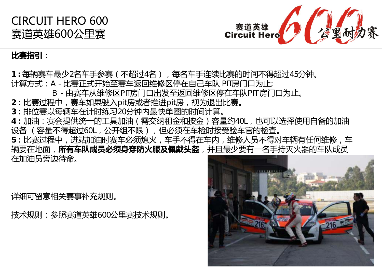



#### **比赛指引:**

1 : 每辆赛车最少2名车手参赛(不超过4名), 每名车手连续比赛的时间不得超过45分钟。 计算方式: A - 比赛正式开始至赛车返回维修区停在自己车队 PIT房门口为止;

- B 由赛车从维修区PIT房门口出发至返回维修区停在车队PIT 房门口为止。
- $2:$ 比赛过程中, 赛车如果驶入pit房或者推进pit房, 视为退出比赛。
- **3:**排位赛以每辆车在计时练习20分钟内最快单圈的时间计算。
- **<sup>4</sup>:**加油:赛会提供统一的工具加油(需交纳租金和按金)容量约40L,也可以选择使用自备的加油 设备 (容量不得超过60L,公开组不限),但必须在车检时接受验车官的检查。

**5:**比赛过程中,进站加油时赛车必须熄火,车手不得在车内,维修人员不得对车辆有任何维修,车 辆要在地面,**所有车队成员必须身穿防火服及佩戴头盔**,并且最少要有一名手持灭火器的车队成员 在加油员旁边待命。

详细可留意相关赛事补充规则。

技术规则:参照赛道英雄600公里赛技术规则。

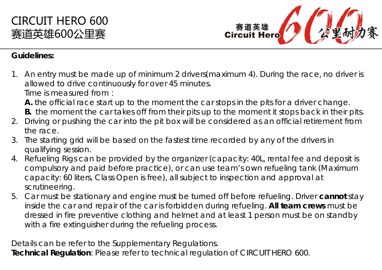



#### **Guidelines:**

1. An entry must be made up of minimum 2 drivers(maximum 4). During the race, no driver is allowed to drive continuously for over 45 minutes.

Time is measured from:

**A .** the official race start up to the moment the car stops in the pits for a driver change.

- **B.** the moment the car takes off from their pits up to the moment it stops back in their pits.
- 2. Driving or pushing the car into the pit box will be considered as an official retirement from the race.
- 3. The starting grid will be based on the fastest time recorded by any of the drivers in qualifying session.
- 4. Refueling Rigs can be provided by the organizer (capacity: 40L, rental fee and deposit is compulsory and paid before practice), or can use team's own refueling tank (Maximum capacity: 60 liters, Class Open is free), all subject to inspection and approval at scrutineering.
- 5. Car must be stationary and engine must be turned off before refueling. Driver **cannot** stay inside the car and repair of the car is forbidden during refueling. **All team crews** must be dressed in fire preventive clothing and helmet and at least 1 person must be on standby with a fire extinguisher during the refueling process.

Details can be refer to the Supplementary Regulations.

**Technical Regulation**: Please refer to technical regulation of CIRCUIT HERO 600.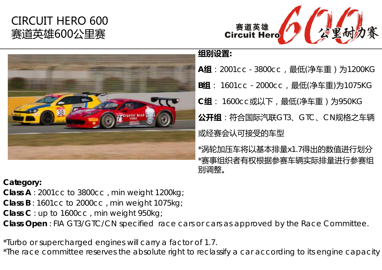

## **组别设置:**

**<sup>A</sup>组**:2001cc - 3800cc,最低(净车重)为1200KG **<sup>B</sup>组**: 1601cc-2000cc,最低(净车重)为1075KG **C组**: 1600cc或以下,最低(净车重)为950KG **公开组**:符合国际汽联GT3、GTC、CN规格之车辆 或经赛会认可接受的车型 \*涡轮加压车将以基本排量x1.7得出的数值进行划分

\*赛事组织者有权根据参赛车辆实际排量进行参赛组 别调整。

## **Category:**

**Class A** : 2001cc to 3800cc , min weight 1200kg;

**Class B**: 1601cc to 2000cc, min weight 1075kg;

**Class C** : up to 1600cc , min weight 950kg;

**Class Open** : FIA GT3/GTC/CN specified race cars or cars as approved by the Race Committee.

\*Turbo or supercharged engines will carry a factor of 1.7.

\*The race committee reserves the absolute right to reclassify a car according to its engine capacity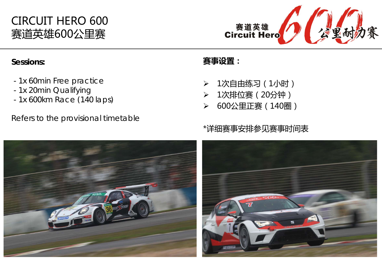

#### **Sessions:**

- 1x 60min Free practice
- 1x 20min Qualifying
- 1x 600km Race (140 laps)

Refers to the provisional timetable

#### **赛事设置:**

- $\blacktriangleright$ 1次自由练习(1小时)
- $\blacktriangleright$ 1次排位赛(20分钟)
- $\blacktriangleright$ 600公里正赛(140圈)

## \*详细赛事安排参见赛事时间表

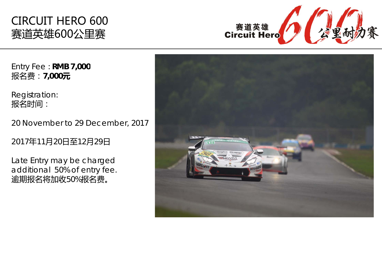

Entry Fee : **RMB 7,000** 报名费:**7,000 元**

Registration: 报名时间:

20 November to 29 December, 2017

2017 年11 月20日至12 月29 日

Late Entry may be charged additional 50% of entry fee. 逾期报名将加收50%报名费。